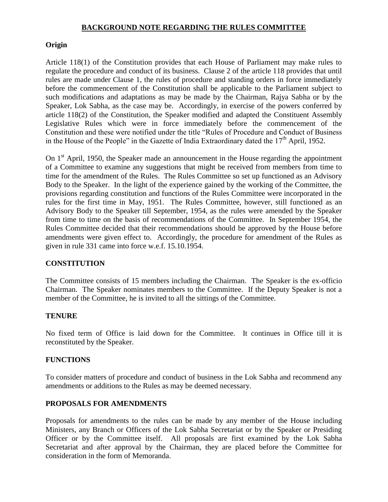### **BACKGROUND NOTE REGARDING THE RULES COMMITTEE**

### **Origin**

Article 118(1) of the Constitution provides that each House of Parliament may make rules to regulate the procedure and conduct of its business. Clause 2 of the article 118 provides that until rules are made under Clause 1, the rules of procedure and standing orders in force immediately before the commencement of the Constitution shall be applicable to the Parliament subject to such modifications and adaptations as may be made by the Chairman, Rajya Sabha or by the Speaker, Lok Sabha, as the case may be. Accordingly, in exercise of the powers conferred by article 118(2) of the Constitution, the Speaker modified and adapted the Constituent Assembly Legislative Rules which were in force immediately before the commencement of the Constitution and these were notified under the title "Rules of Procedure and Conduct of Business in the House of the People" in the Gazette of India Extraordinary dated the  $17<sup>th</sup>$  April, 1952.

On  $1<sup>st</sup>$  April, 1950, the Speaker made an announcement in the House regarding the appointment of a Committee to examine any suggestions that might be received from members from time to time for the amendment of the Rules. The Rules Committee so set up functioned as an Advisory Body to the Speaker. In the light of the experience gained by the working of the Committee, the provisions regarding constitution and functions of the Rules Committee were incorporated in the rules for the first time in May, 1951. The Rules Committee, however, still functioned as an Advisory Body to the Speaker till September, 1954, as the rules were amended by the Speaker from time to time on the basis of recommendations of the Committee. In September 1954, the Rules Committee decided that their recommendations should be approved by the House before amendments were given effect to. Accordingly, the procedure for amendment of the Rules as given in rule 331 came into force w.e.f. 15.10.1954.

### **CONSTITUTION**

The Committee consists of 15 members including the Chairman. The Speaker is the ex-officio Chairman. The Speaker nominates members to the Committee. If the Deputy Speaker is not a member of the Committee, he is invited to all the sittings of the Committee.

### **TENURE**

No fixed term of Office is laid down for the Committee. It continues in Office till it is reconstituted by the Speaker.

### **FUNCTIONS**

To consider matters of procedure and conduct of business in the Lok Sabha and recommend any amendments or additions to the Rules as may be deemed necessary.

### **PROPOSALS FOR AMENDMENTS**

Proposals for amendments to the rules can be made by any member of the House including Ministers, any Branch or Officers of the Lok Sabha Secretariat or by the Speaker or Presiding Officer or by the Committee itself. All proposals are first examined by the Lok Sabha Secretariat and after approval by the Chairman, they are placed before the Committee for consideration in the form of Memoranda.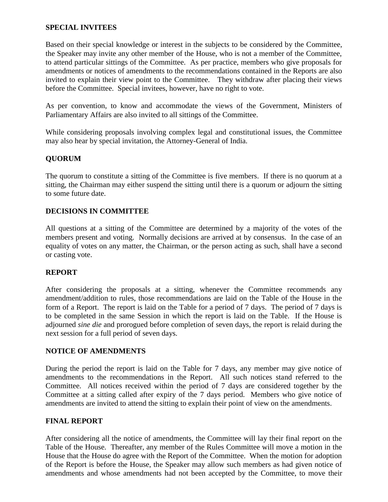## **SPECIAL INVITEES**

Based on their special knowledge or interest in the subjects to be considered by the Committee, the Speaker may invite any other member of the House, who is not a member of the Committee, to attend particular sittings of the Committee. As per practice, members who give proposals for amendments or notices of amendments to the recommendations contained in the Reports are also invited to explain their view point to the Committee. They withdraw after placing their views before the Committee. Special invitees, however, have no right to vote.

As per convention, to know and accommodate the views of the Government, Ministers of Parliamentary Affairs are also invited to all sittings of the Committee.

While considering proposals involving complex legal and constitutional issues, the Committee may also hear by special invitation, the Attorney-General of India.

# **QUORUM**

The quorum to constitute a sitting of the Committee is five members. If there is no quorum at a sitting, the Chairman may either suspend the sitting until there is a quorum or adjourn the sitting to some future date.

## **DECISIONS IN COMMITTEE**

All questions at a sitting of the Committee are determined by a majority of the votes of the members present and voting. Normally decisions are arrived at by consensus. In the case of an equality of votes on any matter, the Chairman, or the person acting as such, shall have a second or casting vote.

## **REPORT**

After considering the proposals at a sitting, whenever the Committee recommends any amendment/addition to rules, those recommendations are laid on the Table of the House in the form of a Report. The report is laid on the Table for a period of 7 days. The period of 7 days is to be completed in the same Session in which the report is laid on the Table. If the House is adjourned *sine die* and prorogued before completion of seven days, the report is relaid during the next session for a full period of seven days.

## **NOTICE OF AMENDMENTS**

During the period the report is laid on the Table for 7 days, any member may give notice of amendments to the recommendations in the Report. All such notices stand referred to the Committee. All notices received within the period of 7 days are considered together by the Committee at a sitting called after expiry of the 7 days period. Members who give notice of amendments are invited to attend the sitting to explain their point of view on the amendments.

### **FINAL REPORT**

After considering all the notice of amendments, the Committee will lay their final report on the Table of the House. Thereafter, any member of the Rules Committee will move a motion in the House that the House do agree with the Report of the Committee. When the motion for adoption of the Report is before the House, the Speaker may allow such members as had given notice of amendments and whose amendments had not been accepted by the Committee, to move their